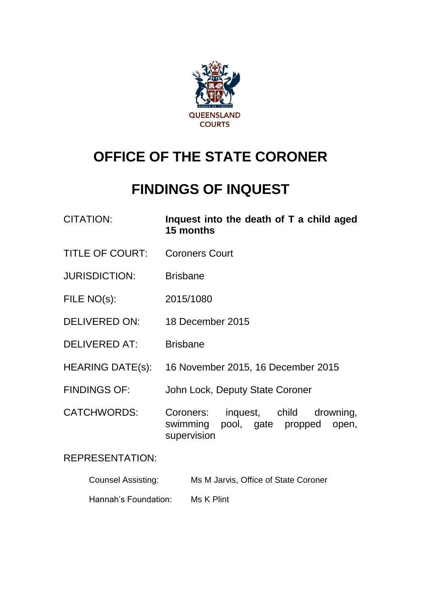

# **OFFICE OF THE STATE CORONER**

## **FINDINGS OF INQUEST**

| <b>CITATION:</b>          | Inquest into the death of T a child aged<br>15 months                                     |
|---------------------------|-------------------------------------------------------------------------------------------|
| <b>TITLE OF COURT:</b>    | <b>Coroners Court</b>                                                                     |
| <b>JURISDICTION:</b>      | <b>Brisbane</b>                                                                           |
| FILE NO(s):               | 2015/1080                                                                                 |
| DELIVERED ON:             | 18 December 2015                                                                          |
| <b>DELIVERED AT:</b>      | <b>Brisbane</b>                                                                           |
| HEARING DATE(s):          | 16 November 2015, 16 December 2015                                                        |
| <b>FINDINGS OF:</b>       | John Lock, Deputy State Coroner                                                           |
| <b>CATCHWORDS:</b>        | Coroners: inquest, child drowning,<br>swimming pool, gate propped<br>open,<br>supervision |
| <b>REPRESENTATION:</b>    |                                                                                           |
| <b>Counsel Assisting:</b> | Ms M Jarvis, Office of State Coroner                                                      |

Hannah's Foundation: Ms K Plint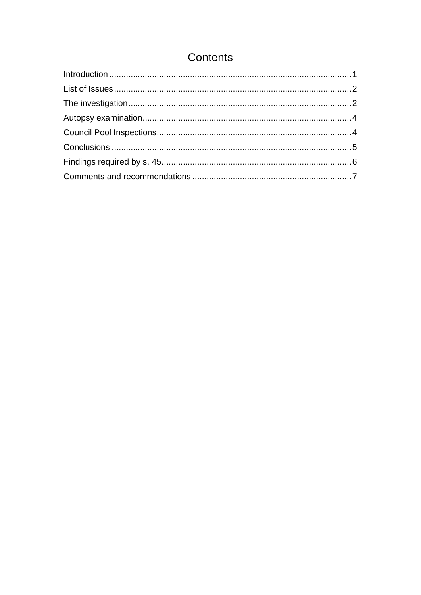## Contents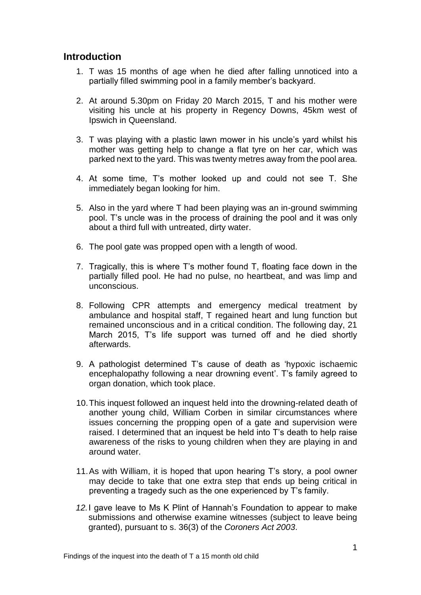### <span id="page-2-0"></span>**Introduction**

- 1. T was 15 months of age when he died after falling unnoticed into a partially filled swimming pool in a family member's backyard.
- 2. At around 5.30pm on Friday 20 March 2015, T and his mother were visiting his uncle at his property in Regency Downs, 45km west of Ipswich in Queensland.
- 3. T was playing with a plastic lawn mower in his uncle's yard whilst his mother was getting help to change a flat tyre on her car, which was parked next to the yard. This was twenty metres away from the pool area.
- 4. At some time, T's mother looked up and could not see T. She immediately began looking for him.
- 5. Also in the yard where T had been playing was an in-ground swimming pool. T's uncle was in the process of draining the pool and it was only about a third full with untreated, dirty water.
- 6. The pool gate was propped open with a length of wood.
- 7. Tragically, this is where T's mother found T, floating face down in the partially filled pool. He had no pulse, no heartbeat, and was limp and unconscious.
- 8. Following CPR attempts and emergency medical treatment by ambulance and hospital staff, T regained heart and lung function but remained unconscious and in a critical condition. The following day, 21 March 2015, T's life support was turned off and he died shortly afterwards.
- 9. A pathologist determined T's cause of death as 'hypoxic ischaemic encephalopathy following a near drowning event'. T's family agreed to organ donation, which took place.
- 10.This inquest followed an inquest held into the drowning-related death of another young child, William Corben in similar circumstances where issues concerning the propping open of a gate and supervision were raised. I determined that an inquest be held into T's death to help raise awareness of the risks to young children when they are playing in and around water.
- 11.As with William, it is hoped that upon hearing T's story, a pool owner may decide to take that one extra step that ends up being critical in preventing a tragedy such as the one experienced by T's family.
- *12.*I gave leave to Ms K Plint of Hannah's Foundation to appear to make submissions and otherwise examine witnesses (subject to leave being granted), pursuant to s. 36(3) of the *Coroners Act 2003*.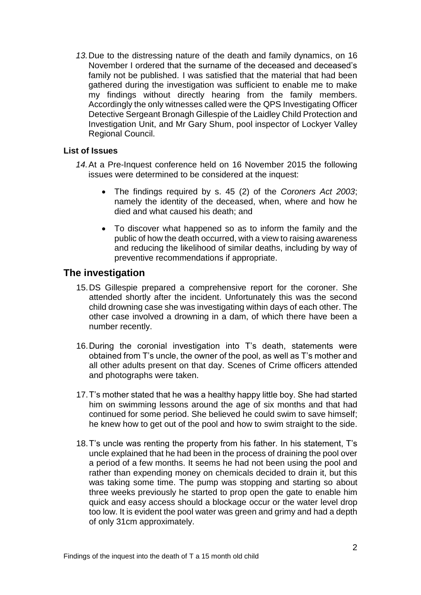*13.*Due to the distressing nature of the death and family dynamics, on 16 November I ordered that the surname of the deceased and deceased's family not be published. I was satisfied that the material that had been gathered during the investigation was sufficient to enable me to make my findings without directly hearing from the family members. Accordingly the only witnesses called were the QPS Investigating Officer Detective Sergeant Bronagh Gillespie of the Laidley Child Protection and Investigation Unit, and Mr Gary Shum, pool inspector of Lockyer Valley Regional Council.

#### <span id="page-3-0"></span>**List of Issues**

- *14.*At a Pre-Inquest conference held on 16 November 2015 the following issues were determined to be considered at the inquest:
	- The findings required by s. 45 (2) of the *Coroners Act 2003*; namely the identity of the deceased, when, where and how he died and what caused his death; and
	- To discover what happened so as to inform the family and the public of how the death occurred, with a view to raising awareness and reducing the likelihood of similar deaths, including by way of preventive recommendations if appropriate.

## <span id="page-3-1"></span>**The investigation**

- 15.DS Gillespie prepared a comprehensive report for the coroner. She attended shortly after the incident. Unfortunately this was the second child drowning case she was investigating within days of each other. The other case involved a drowning in a dam, of which there have been a number recently.
- 16.During the coronial investigation into T's death, statements were obtained from T's uncle, the owner of the pool, as well as T's mother and all other adults present on that day. Scenes of Crime officers attended and photographs were taken.
- 17.T's mother stated that he was a healthy happy little boy. She had started him on swimming lessons around the age of six months and that had continued for some period. She believed he could swim to save himself; he knew how to get out of the pool and how to swim straight to the side.
- 18.T's uncle was renting the property from his father. In his statement, T's uncle explained that he had been in the process of draining the pool over a period of a few months. It seems he had not been using the pool and rather than expending money on chemicals decided to drain it, but this was taking some time. The pump was stopping and starting so about three weeks previously he started to prop open the gate to enable him quick and easy access should a blockage occur or the water level drop too low. It is evident the pool water was green and grimy and had a depth of only 31cm approximately.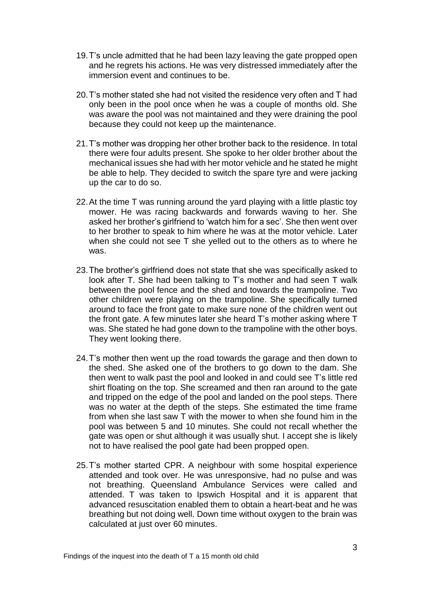- 19.T's uncle admitted that he had been lazy leaving the gate propped open and he regrets his actions. He was very distressed immediately after the immersion event and continues to be.
- 20.T's mother stated she had not visited the residence very often and T had only been in the pool once when he was a couple of months old. She was aware the pool was not maintained and they were draining the pool because they could not keep up the maintenance.
- 21.T's mother was dropping her other brother back to the residence. In total there were four adults present. She spoke to her older brother about the mechanical issues she had with her motor vehicle and he stated he might be able to help. They decided to switch the spare tyre and were jacking up the car to do so.
- 22.At the time T was running around the yard playing with a little plastic toy mower. He was racing backwards and forwards waving to her. She asked her brother's girlfriend to 'watch him for a sec'. She then went over to her brother to speak to him where he was at the motor vehicle. Later when she could not see T she yelled out to the others as to where he was.
- 23.The brother's girlfriend does not state that she was specifically asked to look after T. She had been talking to T's mother and had seen T walk between the pool fence and the shed and towards the trampoline. Two other children were playing on the trampoline. She specifically turned around to face the front gate to make sure none of the children went out the front gate. A few minutes later she heard T's mother asking where T was. She stated he had gone down to the trampoline with the other boys. They went looking there.
- 24.T's mother then went up the road towards the garage and then down to the shed. She asked one of the brothers to go down to the dam. She then went to walk past the pool and looked in and could see T's little red shirt floating on the top. She screamed and then ran around to the gate and tripped on the edge of the pool and landed on the pool steps. There was no water at the depth of the steps. She estimated the time frame from when she last saw T with the mower to when she found him in the pool was between 5 and 10 minutes. She could not recall whether the gate was open or shut although it was usually shut. I accept she is likely not to have realised the pool gate had been propped open.
- 25.T's mother started CPR. A neighbour with some hospital experience attended and took over. He was unresponsive, had no pulse and was not breathing. Queensland Ambulance Services were called and attended. T was taken to Ipswich Hospital and it is apparent that advanced resuscitation enabled them to obtain a heart-beat and he was breathing but not doing well. Down time without oxygen to the brain was calculated at just over 60 minutes.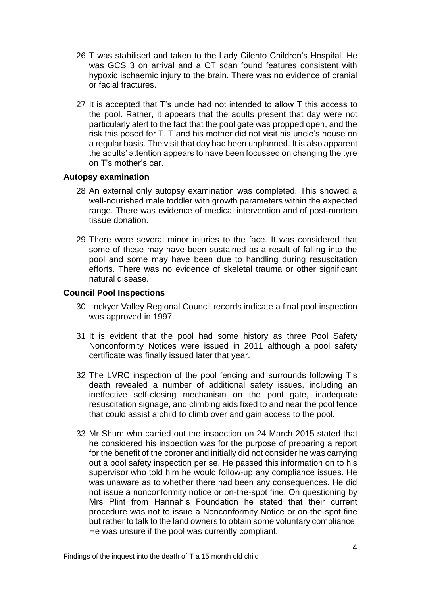- 26.T was stabilised and taken to the Lady Cilento Children's Hospital. He was GCS 3 on arrival and a CT scan found features consistent with hypoxic ischaemic injury to the brain. There was no evidence of cranial or facial fractures.
- 27.It is accepted that T's uncle had not intended to allow T this access to the pool. Rather, it appears that the adults present that day were not particularly alert to the fact that the pool gate was propped open, and the risk this posed for T. T and his mother did not visit his uncle's house on a regular basis. The visit that day had been unplanned. It is also apparent the adults' attention appears to have been focussed on changing the tyre on T's mother's car.

#### <span id="page-5-0"></span>**Autopsy examination**

- 28.An external only autopsy examination was completed. This showed a well-nourished male toddler with growth parameters within the expected range. There was evidence of medical intervention and of post-mortem tissue donation.
- 29.There were several minor injuries to the face. It was considered that some of these may have been sustained as a result of falling into the pool and some may have been due to handling during resuscitation efforts. There was no evidence of skeletal trauma or other significant natural disease.

#### <span id="page-5-1"></span>**Council Pool Inspections**

- 30.Lockyer Valley Regional Council records indicate a final pool inspection was approved in 1997.
- 31.It is evident that the pool had some history as three Pool Safety Nonconformity Notices were issued in 2011 although a pool safety certificate was finally issued later that year.
- 32.The LVRC inspection of the pool fencing and surrounds following T's death revealed a number of additional safety issues, including an ineffective self-closing mechanism on the pool gate, inadequate resuscitation signage, and climbing aids fixed to and near the pool fence that could assist a child to climb over and gain access to the pool.
- 33.Mr Shum who carried out the inspection on 24 March 2015 stated that he considered his inspection was for the purpose of preparing a report for the benefit of the coroner and initially did not consider he was carrying out a pool safety inspection per se. He passed this information on to his supervisor who told him he would follow-up any compliance issues. He was unaware as to whether there had been any consequences. He did not issue a nonconformity notice or on-the-spot fine. On questioning by Mrs Plint from Hannah's Foundation he stated that their current procedure was not to issue a Nonconformity Notice or on-the-spot fine but rather to talk to the land owners to obtain some voluntary compliance. He was unsure if the pool was currently compliant.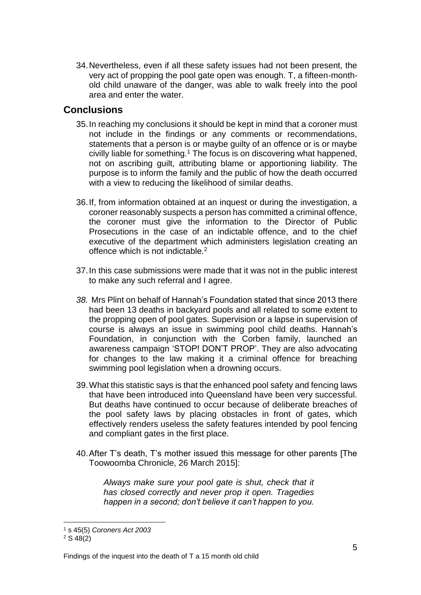34.Nevertheless, even if all these safety issues had not been present, the very act of propping the pool gate open was enough. T, a fifteen-monthold child unaware of the danger, was able to walk freely into the pool area and enter the water.

## <span id="page-6-0"></span>**Conclusions**

- 35.In reaching my conclusions it should be kept in mind that a coroner must not include in the findings or any comments or recommendations, statements that a person is or maybe guilty of an offence or is or maybe civilly liable for something.<sup>1</sup> The focus is on discovering what happened, not on ascribing guilt, attributing blame or apportioning liability. The purpose is to inform the family and the public of how the death occurred with a view to reducing the likelihood of similar deaths.
- 36.If, from information obtained at an inquest or during the investigation, a coroner reasonably suspects a person has committed a criminal offence, the coroner must give the information to the Director of Public Prosecutions in the case of an indictable offence, and to the chief executive of the department which administers legislation creating an offence which is not indictable.<sup>2</sup>
- 37.In this case submissions were made that it was not in the public interest to make any such referral and I agree.
- *38.* Mrs Plint on behalf of Hannah's Foundation stated that since 2013 there had been 13 deaths in backyard pools and all related to some extent to the propping open of pool gates. Supervision or a lapse in supervision of course is always an issue in swimming pool child deaths. Hannah's Foundation, in conjunction with the Corben family, launched an awareness campaign 'STOP! DON'T PROP'. They are also advocating for changes to the law making it a criminal offence for breaching swimming pool legislation when a drowning occurs.
- 39.What this statistic says is that the enhanced pool safety and fencing laws that have been introduced into Queensland have been very successful. But deaths have continued to occur because of deliberate breaches of the pool safety laws by placing obstacles in front of gates, which effectively renders useless the safety features intended by pool fencing and compliant gates in the first place.
- 40.After T's death, T's mother issued this message for other parents [The Toowoomba Chronicle, 26 March 2015]:

*Always make sure your pool gate is shut, check that it has closed correctly and never prop it open. Tragedies happen in a second; don't believe it can't happen to you.*

l

<sup>1</sup> s 45(5) *Coroners Act 2003*

 $2 S 48(2)$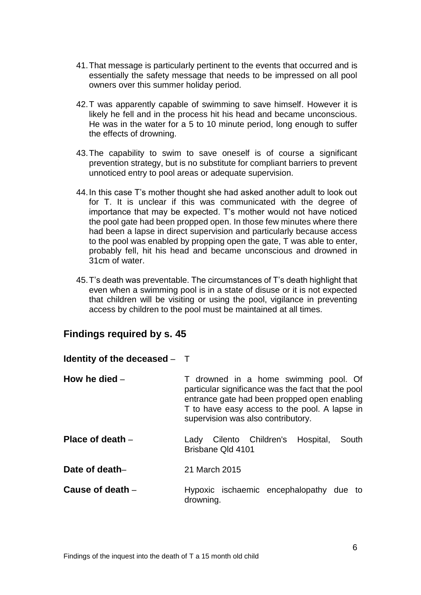- 41.That message is particularly pertinent to the events that occurred and is essentially the safety message that needs to be impressed on all pool owners over this summer holiday period.
- 42.T was apparently capable of swimming to save himself. However it is likely he fell and in the process hit his head and became unconscious. He was in the water for a 5 to 10 minute period, long enough to suffer the effects of drowning.
- 43.The capability to swim to save oneself is of course a significant prevention strategy, but is no substitute for compliant barriers to prevent unnoticed entry to pool areas or adequate supervision.
- 44.In this case T's mother thought she had asked another adult to look out for T. It is unclear if this was communicated with the degree of importance that may be expected. T's mother would not have noticed the pool gate had been propped open. In those few minutes where there had been a lapse in direct supervision and particularly because access to the pool was enabled by propping open the gate, T was able to enter, probably fell, hit his head and became unconscious and drowned in 31cm of water.
- 45.T's death was preventable. The circumstances of T's death highlight that even when a swimming pool is in a state of disuse or it is not expected that children will be visiting or using the pool, vigilance in preventing access by children to the pool must be maintained at all times.

### <span id="page-7-0"></span>**Findings required by s. 45**

#### **Identity of the deceased** – T

- **How he died** T drowned in a home swimming pool. Of particular significance was the fact that the pool entrance gate had been propped open enabling T to have easy access to the pool. A lapse in supervision was also contributory.
- **Place of death** The Lady Cilento Children's Hospital, South Brisbane Qld 4101
- **Date of death–** 21 March 2015
- **Cause of death Hypoxic** ischaemic encephalopathy due to drowning.